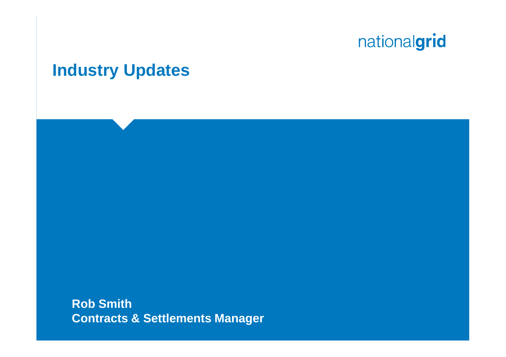## **Industry Updates**

**Rob Smith Contracts & Settlements Manager**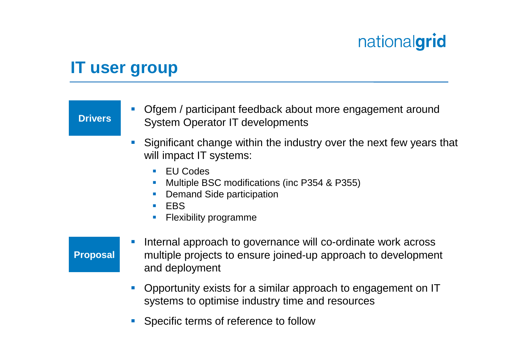### **IT user group**

#### **Drivers**

- Ofgem / participant feedback about more engagement around System Operator IT developments
- **Significant change within the industry over the next few years that** will impact IT systems:
	- EU Codes
	- Multiple BSC modifications (inc P354 & P355)
	- Demand Side participation
	- **EBS**
	- Flexibility programme

#### **Proposal**

- Internal approach to governance will co-ordinate work across multiple projects to ensure joined-up approach to development and deployment
- Opportunity exists for a similar approach to engagement on IT systems to optimise industry time and resources
- Specific terms of reference to follow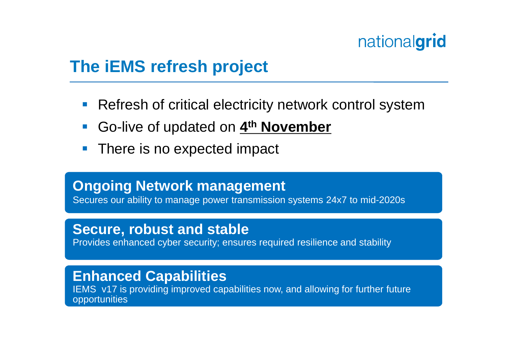## **The iEMS refresh project**

- **Refresh of critical electricity network control system**
- **F** Go-live of updated on  $4$ <sup>th</sup> November
- **There is no expected impact**

#### **Ongoing Network management**

Secures our ability to manage power transmission systems 24x7 to mid-2020s

#### **Secure, robust and stable**

Provides enhanced cyber security; ensures required resilience and stability

### **Enhanced Capabilities**

IEMS v17 is providing improved capabilities now, and allowing for further future opportunities